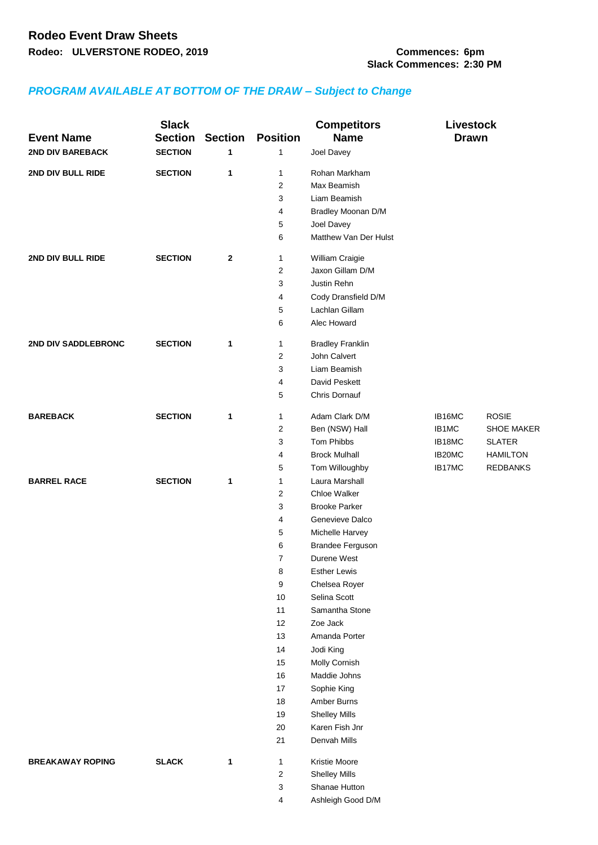## *PROGRAM AVAILABLE AT BOTTOM OF THE DRAW – Subject to Change*

| <b>Event Name</b>       | <b>Slack</b><br><b>Section</b> | <b>Section</b> | <b>Position</b> | <b>Competitors</b><br><b>Name</b>      | <b>Livestock</b><br><b>Drawn</b> |                   |
|-------------------------|--------------------------------|----------------|-----------------|----------------------------------------|----------------------------------|-------------------|
| <b>2ND DIV BAREBACK</b> | <b>SECTION</b>                 | 1              | 1               | Joel Davey                             |                                  |                   |
| 2ND DIV BULL RIDE       | <b>SECTION</b>                 | 1              | 1               | Rohan Markham                          |                                  |                   |
|                         |                                |                | $\overline{2}$  | Max Beamish                            |                                  |                   |
|                         |                                |                | 3               | Liam Beamish                           |                                  |                   |
|                         |                                |                | 4               | Bradley Moonan D/M                     |                                  |                   |
|                         |                                |                | 5               | Joel Davey                             |                                  |                   |
|                         |                                |                | 6               | Matthew Van Der Hulst                  |                                  |                   |
| 2ND DIV BULL RIDE       | <b>SECTION</b>                 | $\mathbf{2}$   | 1               | William Craigie                        |                                  |                   |
|                         |                                |                | $\overline{2}$  | Jaxon Gillam D/M                       |                                  |                   |
|                         |                                |                | 3               | Justin Rehn                            |                                  |                   |
|                         |                                |                | 4               | Cody Dransfield D/M                    |                                  |                   |
|                         |                                |                | 5               | Lachlan Gillam                         |                                  |                   |
|                         |                                |                | 6               | Alec Howard                            |                                  |                   |
| 2ND DIV SADDLEBRONC     | <b>SECTION</b>                 | $\mathbf{1}$   | $\mathbf{1}$    | <b>Bradley Franklin</b>                |                                  |                   |
|                         |                                |                | $\overline{2}$  | John Calvert                           |                                  |                   |
|                         |                                |                | 3               | Liam Beamish                           |                                  |                   |
|                         |                                |                | 4               | David Peskett                          |                                  |                   |
|                         |                                |                | 5               | Chris Dornauf                          |                                  |                   |
| <b>BAREBACK</b>         | <b>SECTION</b>                 | $\mathbf{1}$   | 1               | Adam Clark D/M                         | IB16MC                           | <b>ROSIE</b>      |
|                         |                                |                | 2               | Ben (NSW) Hall                         | IB1MC                            | <b>SHOE MAKER</b> |
|                         |                                |                | 3               | Tom Phibbs                             | IB18MC                           | <b>SLATER</b>     |
|                         |                                |                | 4               | <b>Brock Mulhall</b>                   | IB20MC                           | <b>HAMILTON</b>   |
|                         |                                |                | 5               | Tom Willoughby                         | IB17MC                           | <b>REDBANKS</b>   |
| <b>BARREL RACE</b>      | <b>SECTION</b>                 | $\mathbf 1$    | $\mathbf{1}$    | Laura Marshall                         |                                  |                   |
|                         |                                |                | $\overline{2}$  | Chloe Walker                           |                                  |                   |
|                         |                                |                | 3               | <b>Brooke Parker</b>                   |                                  |                   |
|                         |                                |                | 4               | Genevieve Dalco                        |                                  |                   |
|                         |                                |                | 5               | Michelle Harvey                        |                                  |                   |
|                         |                                |                | 6               | <b>Brandee Ferguson</b>                |                                  |                   |
|                         |                                |                | $\overline{7}$  | Durene West                            |                                  |                   |
|                         |                                |                | 8               | <b>Esther Lewis</b>                    |                                  |                   |
|                         |                                |                | 9               | Chelsea Royer                          |                                  |                   |
|                         |                                |                | 10              | Selina Scott                           |                                  |                   |
|                         |                                |                | 11              | Samantha Stone                         |                                  |                   |
|                         |                                |                | 12              | Zoe Jack                               |                                  |                   |
|                         |                                |                | 13              | Amanda Porter                          |                                  |                   |
|                         |                                |                | 14              | Jodi King                              |                                  |                   |
|                         |                                |                | 15              | Molly Cornish                          |                                  |                   |
|                         |                                |                | 16              | Maddie Johns                           |                                  |                   |
|                         |                                |                | 17              | Sophie King<br>Amber Burns             |                                  |                   |
|                         |                                |                | 18              |                                        |                                  |                   |
|                         |                                |                | 19<br>20        | <b>Shelley Mills</b><br>Karen Fish Jnr |                                  |                   |
|                         |                                |                | 21              | Denvah Mills                           |                                  |                   |
| <b>BREAKAWAY ROPING</b> | <b>SLACK</b>                   | 1              | 1               | Kristie Moore                          |                                  |                   |
|                         |                                |                | 2               | <b>Shelley Mills</b>                   |                                  |                   |
|                         |                                |                | 3               | Shanae Hutton                          |                                  |                   |
|                         |                                |                | 4               | Ashleigh Good D/M                      |                                  |                   |
|                         |                                |                |                 |                                        |                                  |                   |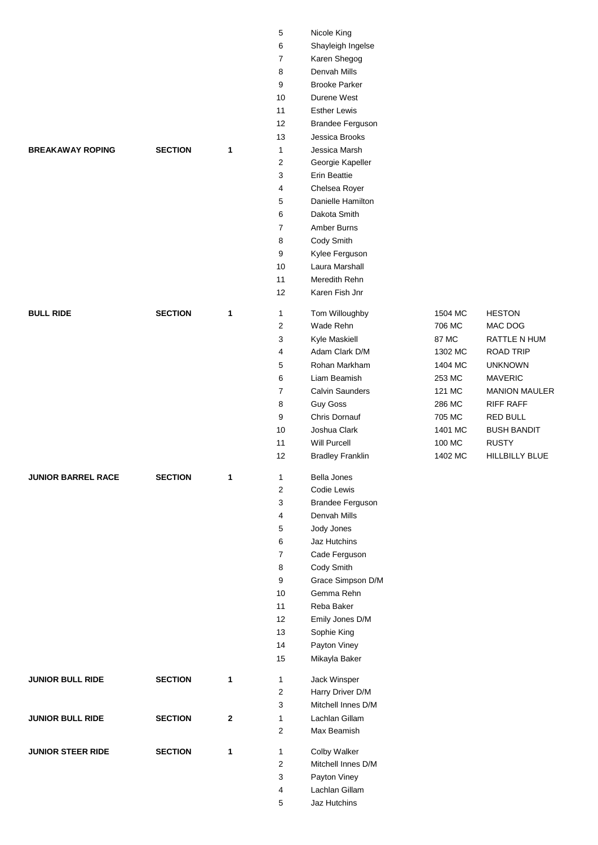|                           |                |              | 5              | Nicole King             |         |                      |
|---------------------------|----------------|--------------|----------------|-------------------------|---------|----------------------|
|                           |                |              | 6              | Shayleigh Ingelse       |         |                      |
|                           |                |              | 7              | Karen Shegog            |         |                      |
|                           |                |              | 8              | Denvah Mills            |         |                      |
|                           |                |              | 9              | <b>Brooke Parker</b>    |         |                      |
|                           |                |              | 10             | Durene West             |         |                      |
|                           |                |              | 11             | <b>Esther Lewis</b>     |         |                      |
|                           |                |              | 12             | Brandee Ferguson        |         |                      |
|                           |                |              | 13             | Jessica Brooks          |         |                      |
| <b>BREAKAWAY ROPING</b>   | <b>SECTION</b> | $\mathbf 1$  | $\mathbf{1}$   | Jessica Marsh           |         |                      |
|                           |                |              | 2              | Georgie Kapeller        |         |                      |
|                           |                |              | 3              | Erin Beattie            |         |                      |
|                           |                |              | 4              | Chelsea Royer           |         |                      |
|                           |                |              | 5              | Danielle Hamilton       |         |                      |
|                           |                |              | 6              | Dakota Smith            |         |                      |
|                           |                |              | $\overline{7}$ | Amber Burns             |         |                      |
|                           |                |              | 8              | Cody Smith              |         |                      |
|                           |                |              | 9              | Kylee Ferguson          |         |                      |
|                           |                |              | 10             | Laura Marshall          |         |                      |
|                           |                |              | 11             | Meredith Rehn           |         |                      |
|                           |                |              | 12             | Karen Fish Jnr          |         |                      |
| <b>BULL RIDE</b>          | <b>SECTION</b> | $\mathbf{1}$ | 1              | Tom Willoughby          | 1504 MC | <b>HESTON</b>        |
|                           |                |              | 2              | Wade Rehn               | 706 MC  | MAC DOG              |
|                           |                |              | 3              | Kyle Maskiell           | 87 MC   | <b>RATTLE N HUM</b>  |
|                           |                |              | 4              | Adam Clark D/M          | 1302 MC | <b>ROAD TRIP</b>     |
|                           |                |              | 5              | Rohan Markham           | 1404 MC | <b>UNKNOWN</b>       |
|                           |                |              | 6              | Liam Beamish            | 253 MC  | <b>MAVERIC</b>       |
|                           |                |              | 7              | <b>Calvin Saunders</b>  | 121 MC  | <b>MANION MAULER</b> |
|                           |                |              | 8              | <b>Guy Goss</b>         | 286 MC  | <b>RIFF RAFF</b>     |
|                           |                |              | 9              | Chris Dornauf           | 705 MC  | <b>RED BULL</b>      |
|                           |                |              | 10             | Joshua Clark            | 1401 MC | <b>BUSH BANDIT</b>   |
|                           |                |              | 11             | Will Purcell            | 100 MC  | <b>RUSTY</b>         |
|                           |                |              | 12             | <b>Bradley Franklin</b> | 1402 MC | HILLBILLY BLUE       |
|                           |                |              |                |                         |         |                      |
| <b>JUNIOR BARREL RACE</b> | <b>SECTION</b> | 1            | 1              | <b>Bella Jones</b>      |         |                      |
|                           |                |              | 2              | Codie Lewis             |         |                      |
|                           |                |              | 3              | Brandee Ferguson        |         |                      |
|                           |                |              | 4              | Denvah Mills            |         |                      |
|                           |                |              | 5              | Jody Jones              |         |                      |
|                           |                |              | 6              | Jaz Hutchins            |         |                      |
|                           |                |              | $\overline{7}$ | Cade Ferguson           |         |                      |
|                           |                |              | 8              | Cody Smith              |         |                      |
|                           |                |              | 9              | Grace Simpson D/M       |         |                      |
|                           |                |              | 10             | Gemma Rehn              |         |                      |
|                           |                |              | 11             | Reba Baker              |         |                      |
|                           |                |              | 12             | Emily Jones D/M         |         |                      |
|                           |                |              | 13             | Sophie King             |         |                      |
|                           |                |              | 14             | Payton Viney            |         |                      |
|                           |                |              | 15             | Mikayla Baker           |         |                      |
| <b>JUNIOR BULL RIDE</b>   | <b>SECTION</b> | 1            | 1              | Jack Winsper            |         |                      |
|                           |                |              | 2              | Harry Driver D/M        |         |                      |
|                           |                |              | 3              | Mitchell Innes D/M      |         |                      |
| <b>JUNIOR BULL RIDE</b>   | <b>SECTION</b> | $\mathbf{2}$ | 1              | Lachlan Gillam          |         |                      |
|                           |                |              | $\overline{c}$ | Max Beamish             |         |                      |
|                           |                |              |                |                         |         |                      |
| <b>JUNIOR STEER RIDE</b>  | <b>SECTION</b> | 1            | 1              | Colby Walker            |         |                      |
|                           |                |              | 2              | Mitchell Innes D/M      |         |                      |
|                           |                |              | 3              | Payton Viney            |         |                      |
|                           |                |              | 4              | Lachlan Gillam          |         |                      |
|                           |                |              | 5              | Jaz Hutchins            |         |                      |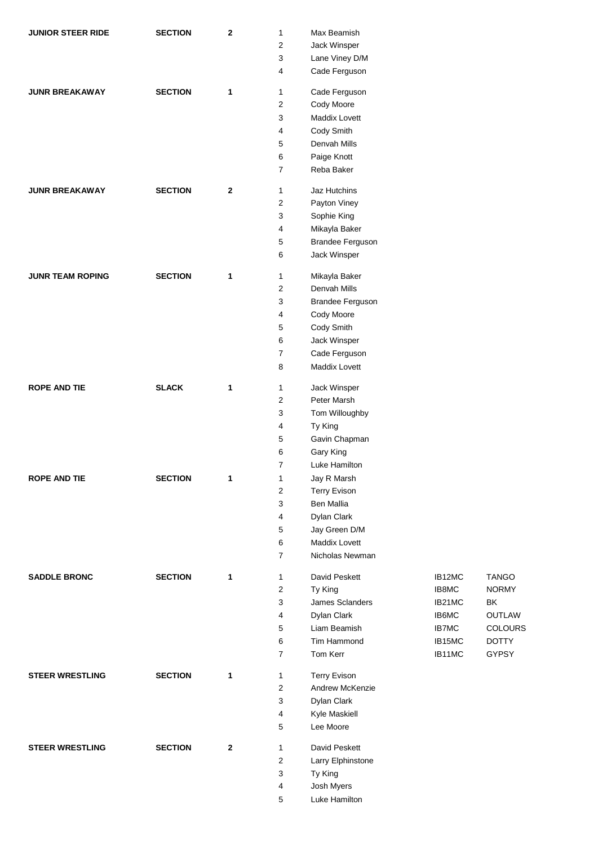| <b>JUNIOR STEER RIDE</b> | <b>SECTION</b> | $\mathbf{2}$ | 1                       | Max Beamish             |              |                |
|--------------------------|----------------|--------------|-------------------------|-------------------------|--------------|----------------|
|                          |                |              | 2                       | Jack Winsper            |              |                |
|                          |                |              | 3                       | Lane Viney D/M          |              |                |
|                          |                |              | 4                       | Cade Ferguson           |              |                |
| <b>JUNR BREAKAWAY</b>    | <b>SECTION</b> | 1            | 1                       | Cade Ferguson           |              |                |
|                          |                |              | $\overline{2}$          | Cody Moore              |              |                |
|                          |                |              | 3                       | Maddix Lovett           |              |                |
|                          |                |              | 4                       | Cody Smith              |              |                |
|                          |                |              | 5                       | Denvah Mills            |              |                |
|                          |                |              | 6                       | Paige Knott             |              |                |
|                          |                |              | $\overline{7}$          | Reba Baker              |              |                |
|                          |                |              |                         |                         |              |                |
| <b>JUNR BREAKAWAY</b>    | <b>SECTION</b> | $\mathbf{2}$ | 1                       | Jaz Hutchins            |              |                |
|                          |                |              | 2                       | Payton Viney            |              |                |
|                          |                |              | 3                       | Sophie King             |              |                |
|                          |                |              | 4                       | Mikayla Baker           |              |                |
|                          |                |              | 5                       | Brandee Ferguson        |              |                |
|                          |                |              | 6                       | Jack Winsper            |              |                |
| <b>JUNR TEAM ROPING</b>  | <b>SECTION</b> | 1            | 1                       | Mikayla Baker           |              |                |
|                          |                |              | $\overline{2}$          | Denvah Mills            |              |                |
|                          |                |              | 3                       | <b>Brandee Ferguson</b> |              |                |
|                          |                |              | 4                       | Cody Moore              |              |                |
|                          |                |              | 5                       | Cody Smith              |              |                |
|                          |                |              | 6                       | Jack Winsper            |              |                |
|                          |                |              | $\overline{7}$          | Cade Ferguson           |              |                |
|                          |                |              | 8                       | Maddix Lovett           |              |                |
|                          |                |              |                         |                         |              |                |
| <b>ROPE AND TIE</b>      | <b>SLACK</b>   | 1            | 1                       | Jack Winsper            |              |                |
|                          |                |              | 2                       | Peter Marsh             |              |                |
|                          |                |              | 3                       | Tom Willoughby          |              |                |
|                          |                |              | 4                       | Ty King                 |              |                |
|                          |                |              | 5                       | Gavin Chapman           |              |                |
|                          |                |              | 6                       | Gary King               |              |                |
|                          |                |              | $\overline{7}$          | Luke Hamilton           |              |                |
| <b>ROPE AND TIE</b>      | <b>SECTION</b> | 1            | 1                       | Jay R Marsh             |              |                |
|                          |                |              | $\boldsymbol{2}$        | <b>Terry Evison</b>     |              |                |
|                          |                |              | 3                       | Ben Mallia              |              |                |
|                          |                |              | 4                       | Dylan Clark             |              |                |
|                          |                |              | $\sqrt{5}$              | Jay Green D/M           |              |                |
|                          |                |              | 6                       | Maddix Lovett           |              |                |
|                          |                |              | $\overline{7}$          | Nicholas Newman         |              |                |
| <b>SADDLE BRONC</b>      | <b>SECTION</b> | $\mathbf{1}$ | 1                       | David Peskett           | IB12MC       | <b>TANGO</b>   |
|                          |                |              | $\sqrt{2}$              | Ty King                 | IB8MC        | <b>NORMY</b>   |
|                          |                |              | 3                       | James Sclanders         | IB21MC       | BK             |
|                          |                |              | 4                       | Dylan Clark             | IB6MC        | OUTLAW         |
|                          |                |              | 5                       | Liam Beamish            | <b>IB7MC</b> | <b>COLOURS</b> |
|                          |                |              | 6                       | Tim Hammond             | IB15MC       | <b>DOTTY</b>   |
|                          |                |              | $\overline{7}$          | Tom Kerr                | IB11MC       | GYPSY          |
| <b>STEER WRESTLING</b>   | <b>SECTION</b> | 1            | $\mathbf{1}$            | <b>Terry Evison</b>     |              |                |
|                          |                |              | $\overline{\mathbf{c}}$ | Andrew McKenzie         |              |                |
|                          |                |              | 3                       | Dylan Clark             |              |                |
|                          |                |              | 4                       | Kyle Maskiell           |              |                |
|                          |                |              | 5                       | Lee Moore               |              |                |
| <b>STEER WRESTLING</b>   | <b>SECTION</b> | $\bf{2}$     | $\mathbf{1}$            | David Peskett           |              |                |
|                          |                |              | $\overline{\mathbf{c}}$ | Larry Elphinstone       |              |                |
|                          |                |              | 3                       | Ty King                 |              |                |
|                          |                |              | 4                       | Josh Myers              |              |                |
|                          |                |              | 5                       | Luke Hamilton           |              |                |
|                          |                |              |                         |                         |              |                |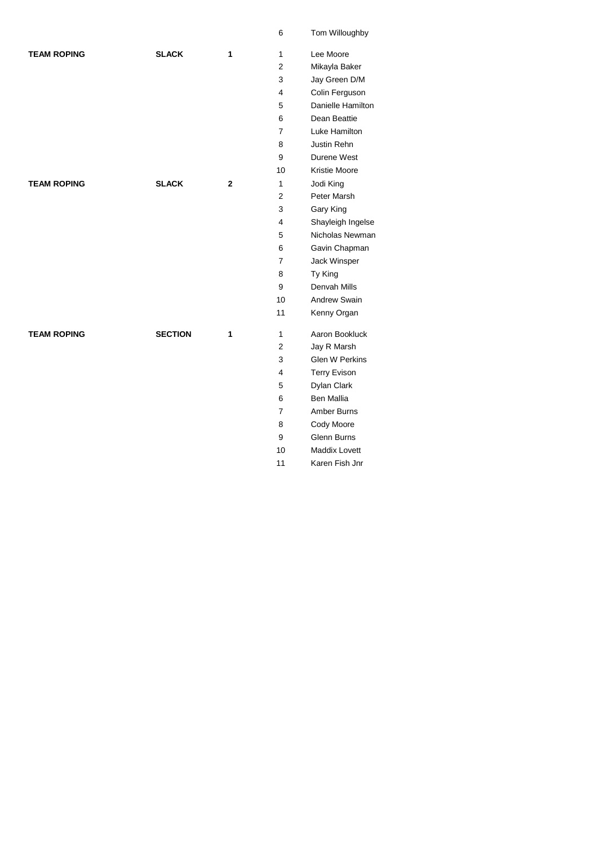|                    |                |             | 6              | Tom Willoughby        |
|--------------------|----------------|-------------|----------------|-----------------------|
| <b>TEAM ROPING</b> | <b>SLACK</b>   | 1           | $\mathbf{1}$   | Lee Moore             |
|                    |                |             | $\overline{2}$ | Mikayla Baker         |
|                    |                |             | 3              | Jay Green D/M         |
|                    |                |             | 4              | Colin Ferguson        |
|                    |                |             | 5              | Danielle Hamilton     |
|                    |                |             | 6              | Dean Beattie          |
|                    |                |             | $\overline{7}$ | Luke Hamilton         |
|                    |                |             | 8              | Justin Rehn           |
|                    |                |             | 9              | Durene West           |
|                    |                |             | 10             | Kristie Moore         |
| <b>TEAM ROPING</b> | <b>SLACK</b>   | $\mathbf 2$ | 1              | Jodi King             |
|                    |                |             | $\overline{2}$ | Peter Marsh           |
|                    |                |             | 3              | Gary King             |
|                    |                |             | 4              | Shayleigh Ingelse     |
|                    |                |             | 5              | Nicholas Newman       |
|                    |                |             | 6              | Gavin Chapman         |
|                    |                |             | 7              | Jack Winsper          |
|                    |                |             | 8              | Ty King               |
|                    |                |             | 9              | Denvah Mills          |
|                    |                |             | 10             | <b>Andrew Swain</b>   |
|                    |                |             | 11             | Kenny Organ           |
| <b>TEAM ROPING</b> | <b>SECTION</b> | 1           | 1              | Aaron Bookluck        |
|                    |                |             | $\overline{2}$ | Jay R Marsh           |
|                    |                |             | 3              | <b>Glen W Perkins</b> |
|                    |                |             | $\overline{4}$ | <b>Terry Evison</b>   |
|                    |                |             | 5              | Dylan Clark           |
|                    |                |             | 6              | <b>Ben Mallia</b>     |
|                    |                |             | $\overline{7}$ | Amber Burns           |
|                    |                |             | 8              | Cody Moore            |
|                    |                |             | 9              | Glenn Burns           |
|                    |                |             | 10             | <b>Maddix Lovett</b>  |

Karen Fish Jnr